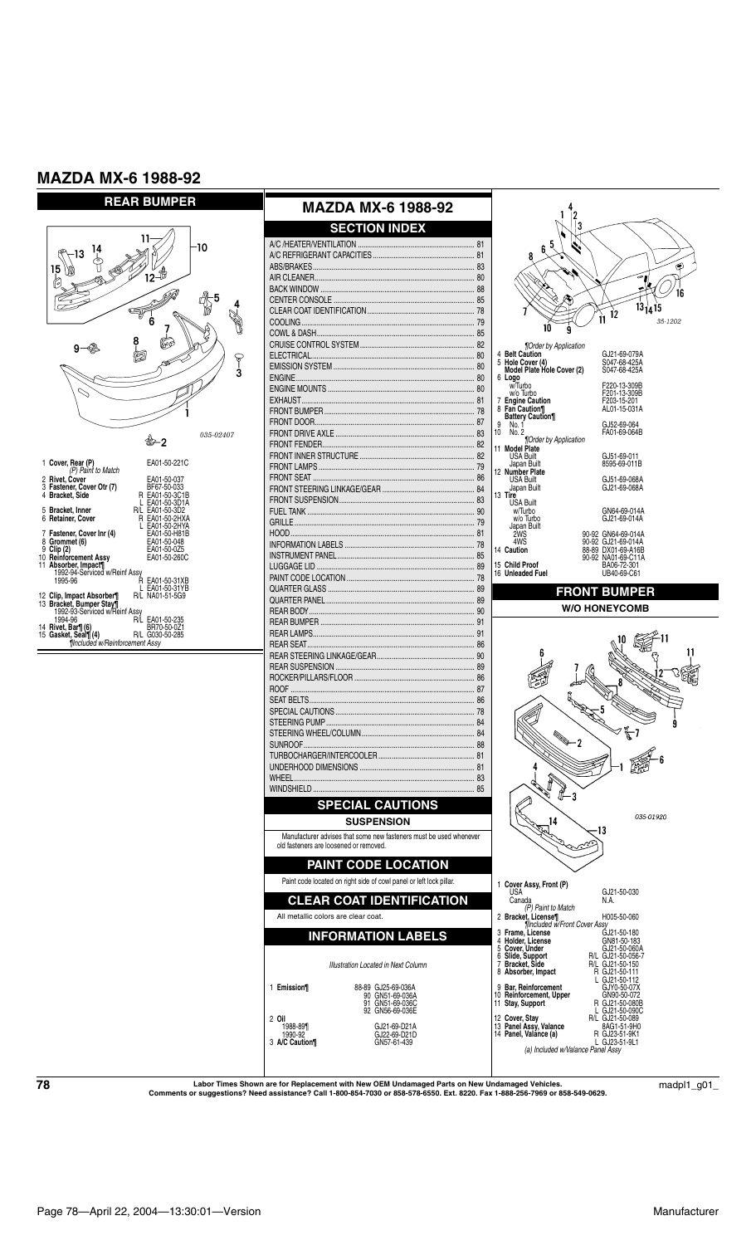



 $\textbf{78}$  Labor Times Shown are for Replacement with New OEM Undamaged Parts on New Undamaged Vehicles.  $\text{c}$  madpl1\_g01\_

16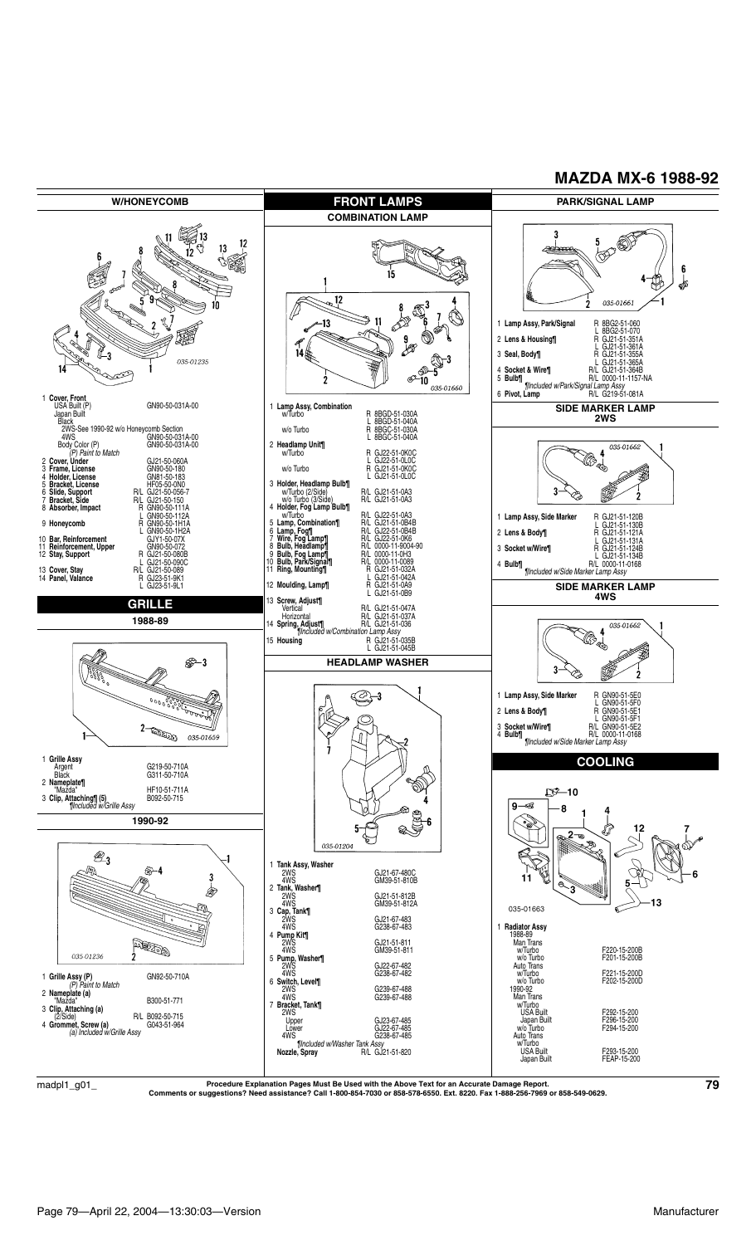

Procedure Explanation Pages Must Be Used with the Above Text for an Accurate Damage Report.<br>Comments or suggestions? Need assistance? Call 1-800-854-7030 or 858-578-6550. Ext. 8220. Fax 1-888-256-7969 or 858-549-0629.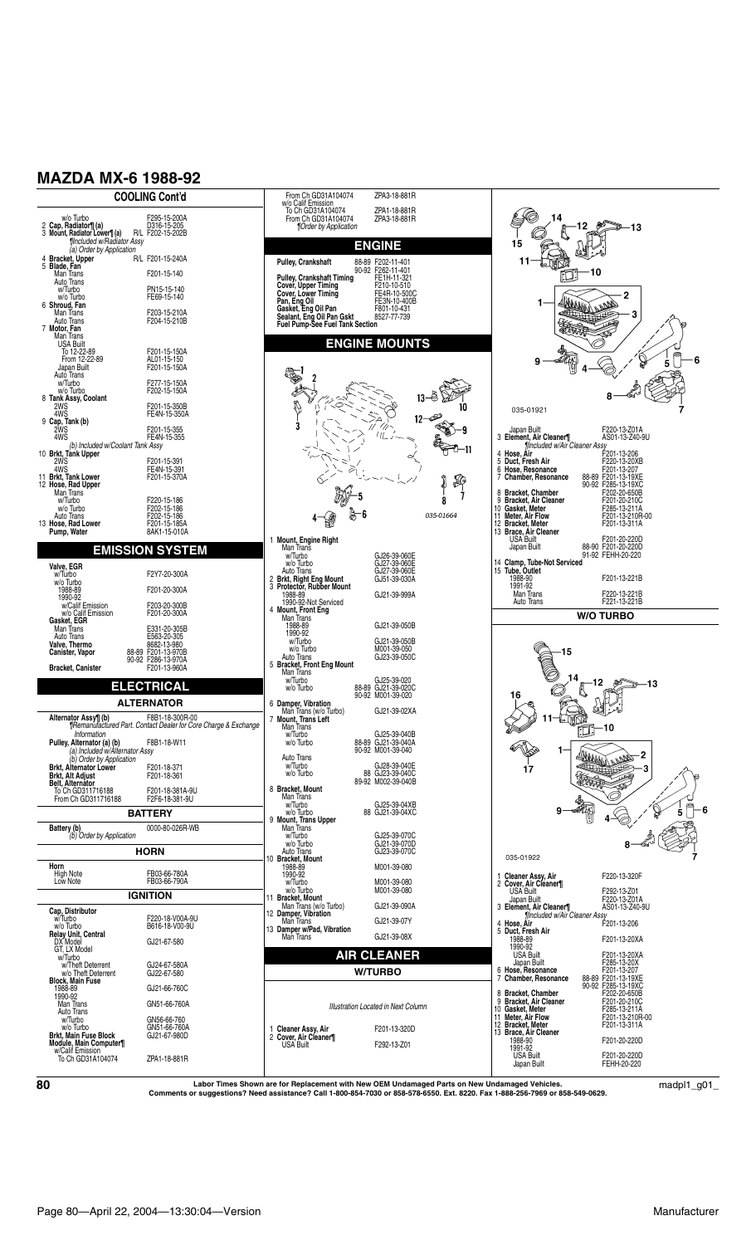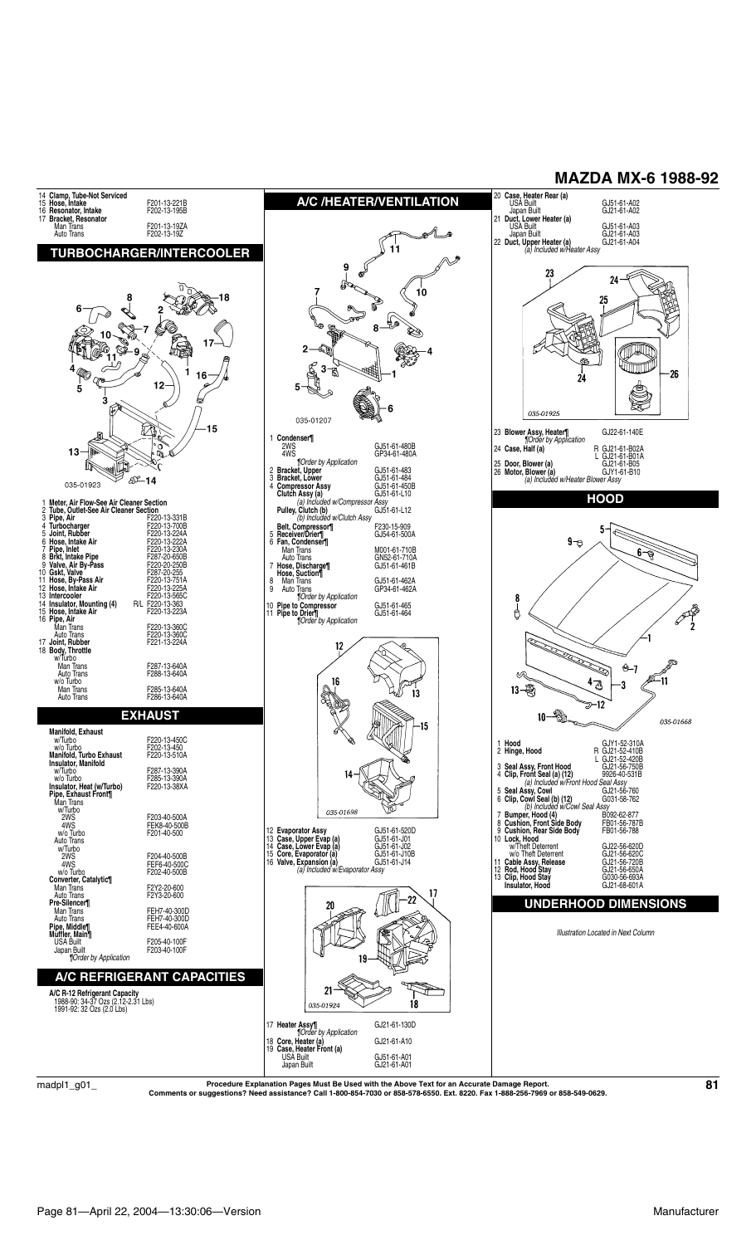

 $\rm{madpl1\_g01\_}$  Procedure Explanation Pages Must Be Used with the Above Text for an Accurate Damage Report.<br>Comments or suggestions? Need assistance? Call 1-800-854-7030 or 858-578-6550. Ext. 8220. Fax 1-888-256-7969 or 85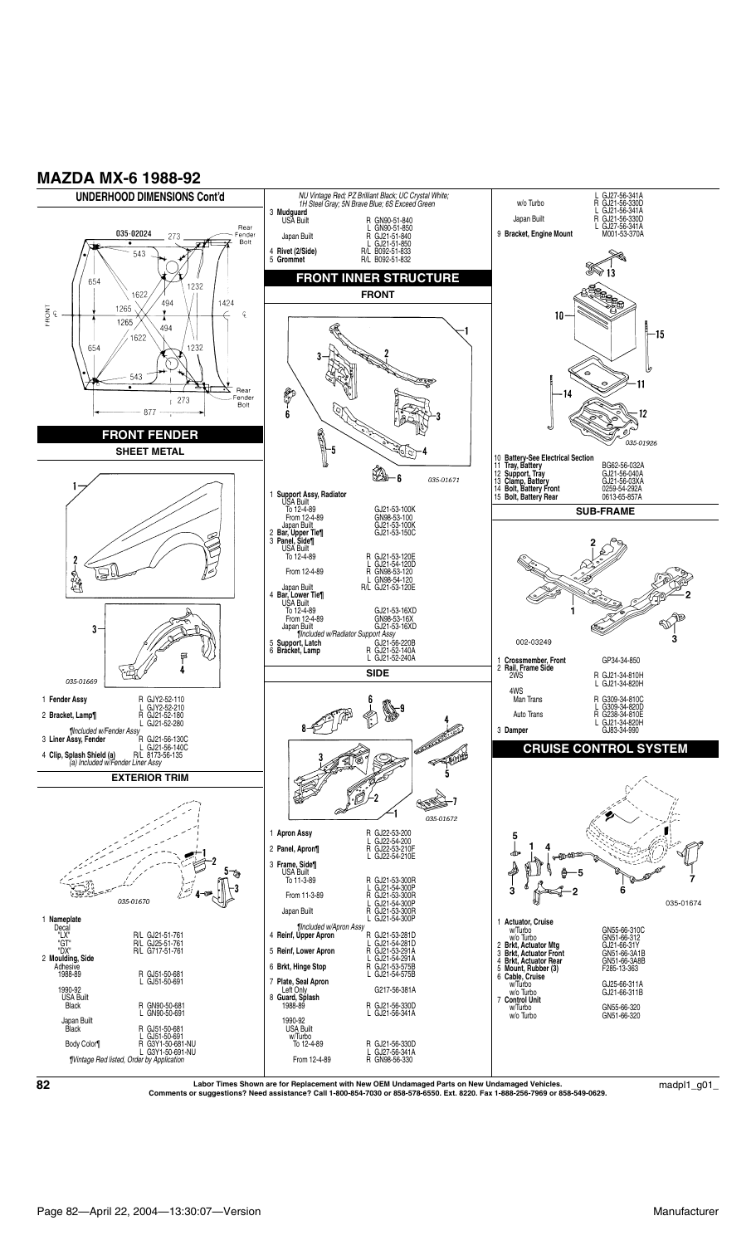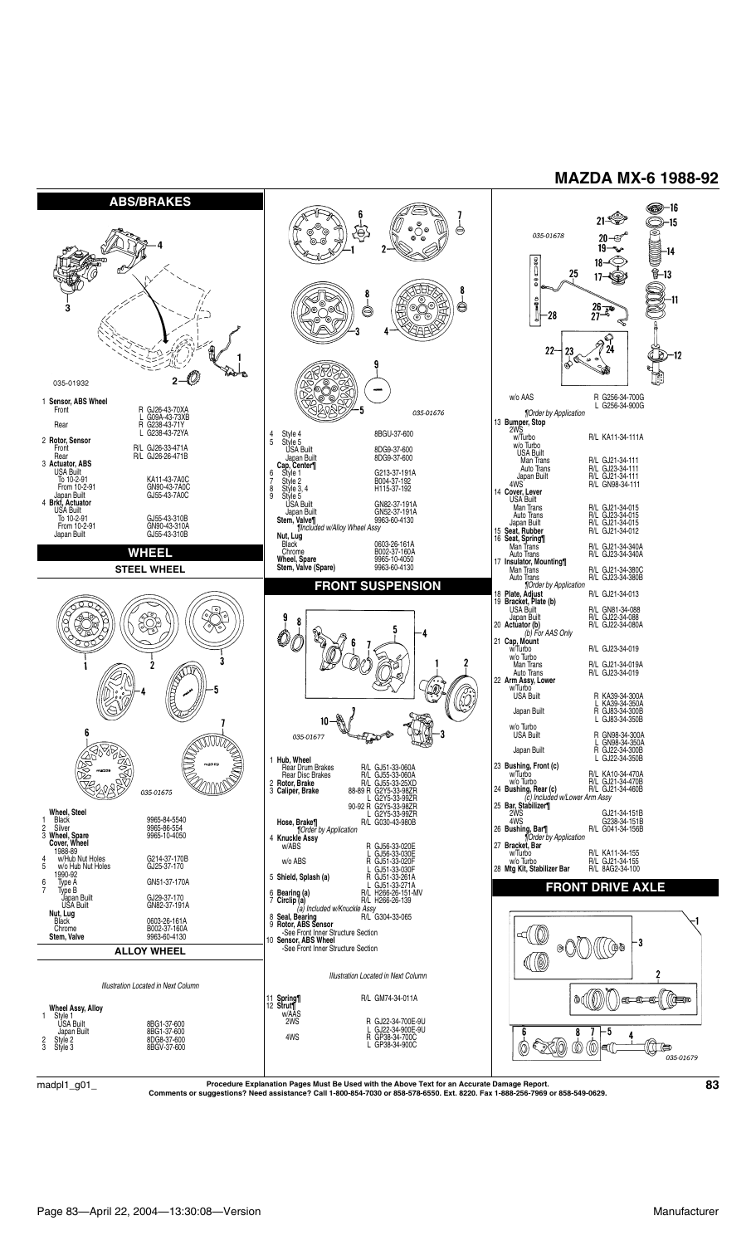

 $\rm{madpl1\_g01\_}$  Procedure Explanation Pages Must Be Used with the Above Text for an Accurate Damage Report.  $\rm{B3}$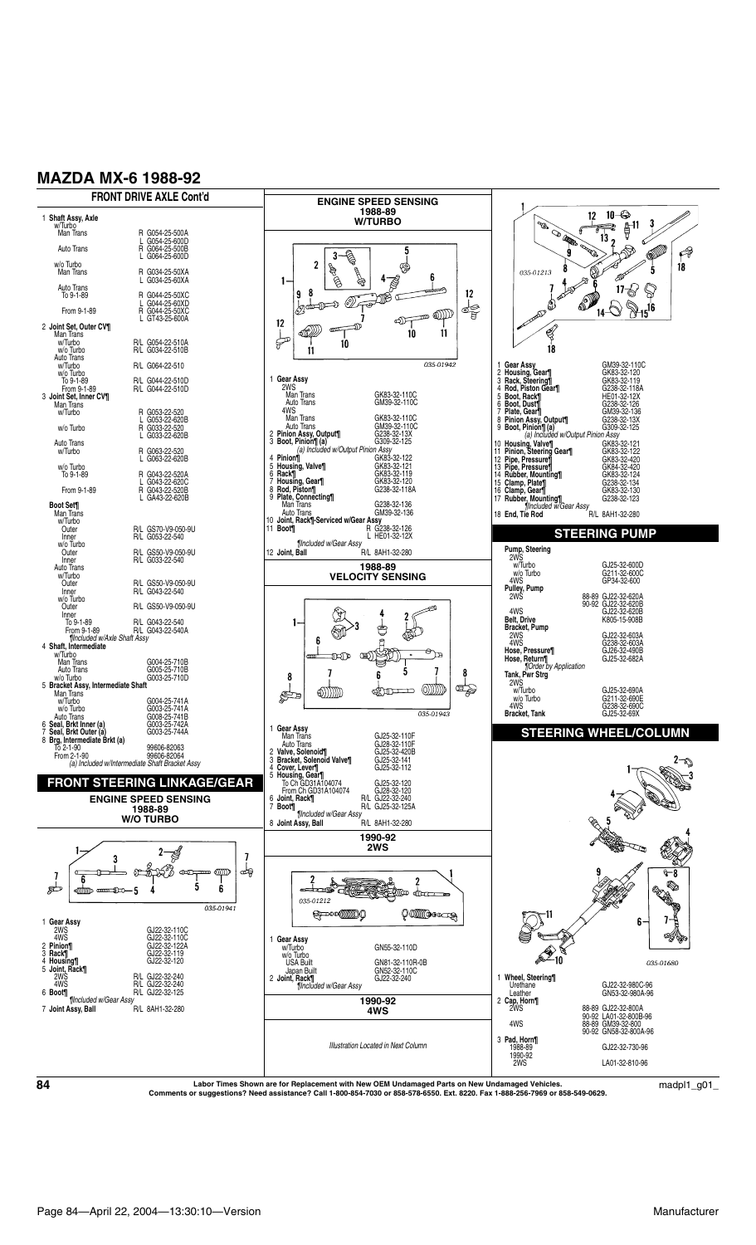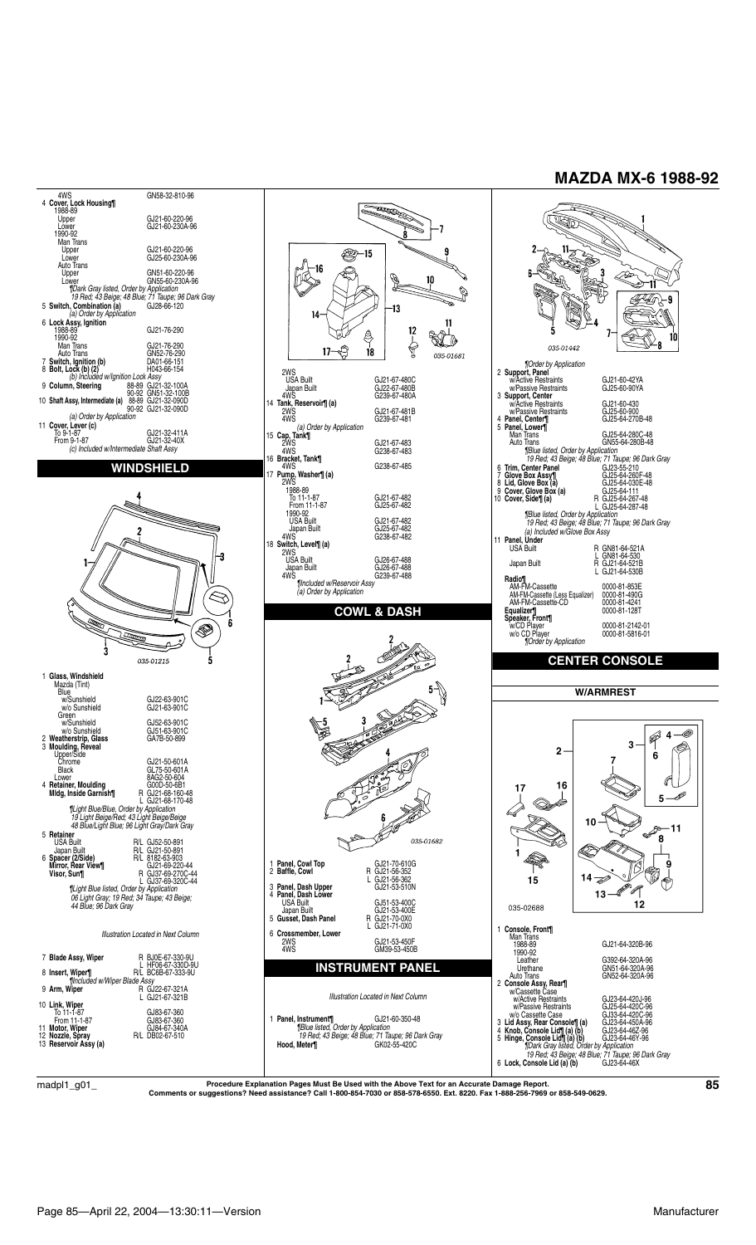

 $\rm{madpl1\_g01\_}$  Procedure Explanation Pages Must Be Used with the Above Text for an Accurate Damage Report.  $\rm{g01\_}$  Comments or suggestions? Need assistance? Call 1-800-854-7030 or 858-578-6550. Ext. 8220. Fax 1-888-256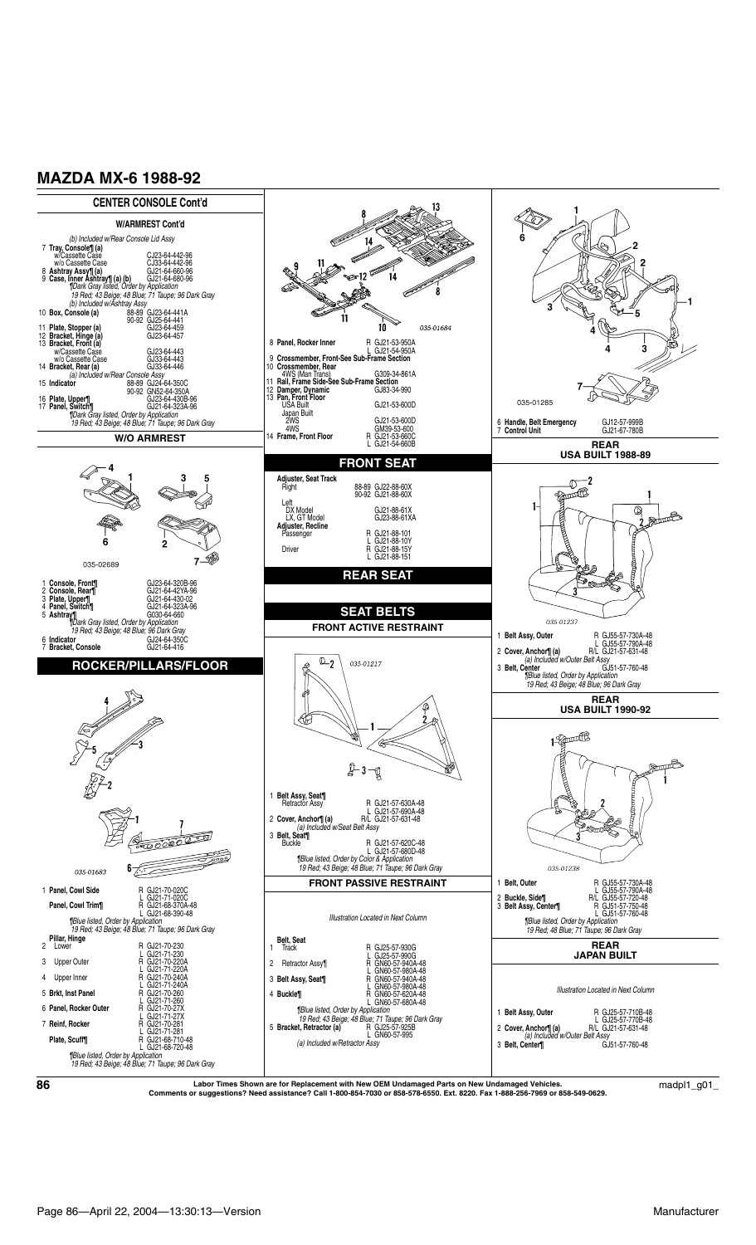

 $\bf{86}$   $\bf{6}$   $\bf{6}$   $\bf{6}$   $\bf{6}$   $\bf{6}$   $\bf{6}$   $\bf{6}$   $\bf{6}$   $\bf{6}$   $\bf{6}$   $\bf{6}$   $\bf{6}$   $\bf{6}$   $\bf{6}$   $\bf{6}$   $\bf{6}$   $\bf{6}$   $\bf{6}$   $\bf{6}$   $\bf{6}$   $\bf{6}$   $\bf{6}$   $\bf{6}$   $\bf{6}$   $\bf{6}$   $\bf{6}$   $\bf{$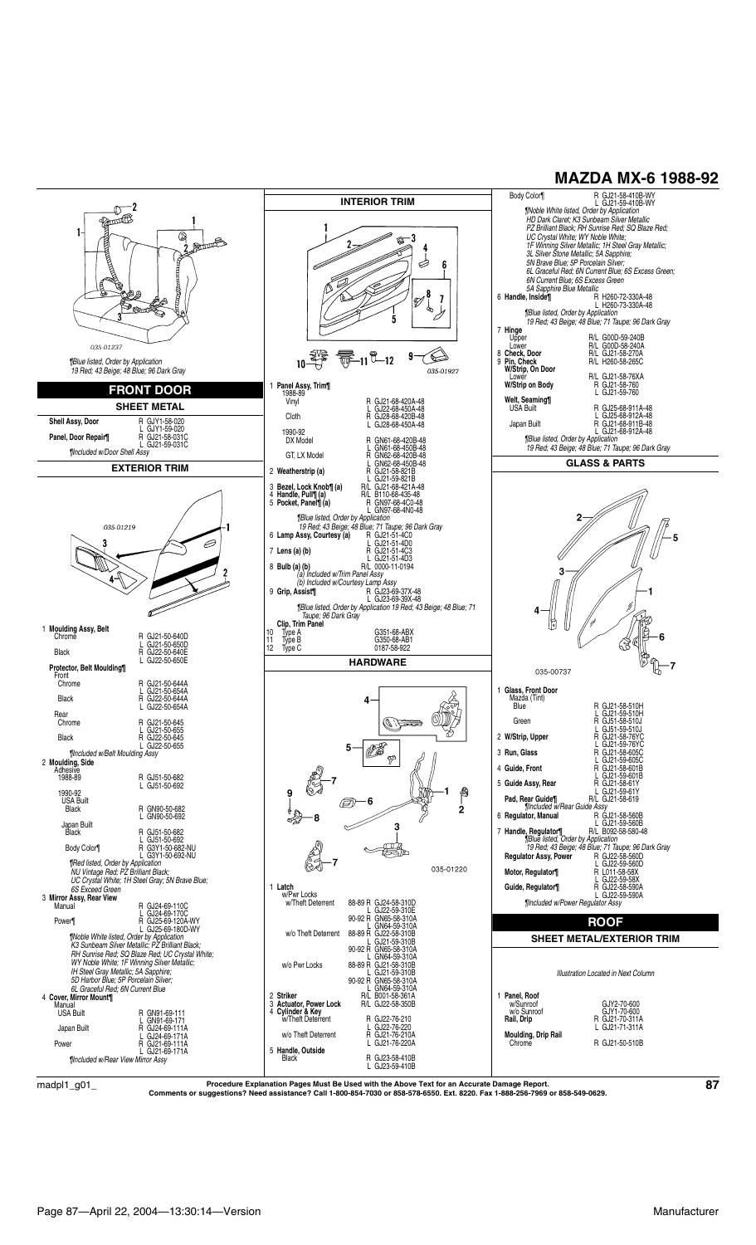

 $\rm{madpl1\_g01\_}$  Procedure Explanation Pages Must Be Used with the Above Text for an Accurate Damage Report.<br>Comments or suggestions? Need assistance? Call 1-800-854-7030 or 858-578-6550. Ext. 8220. Fax 1-888-256-7969 or 85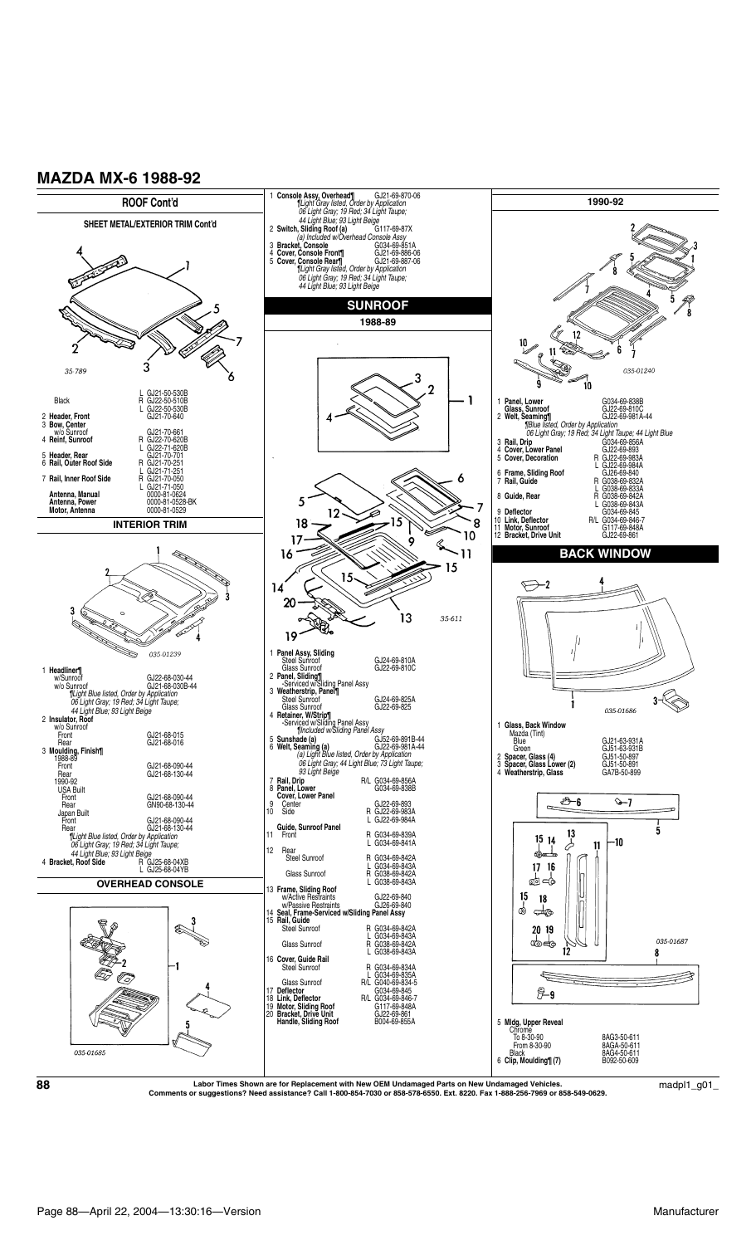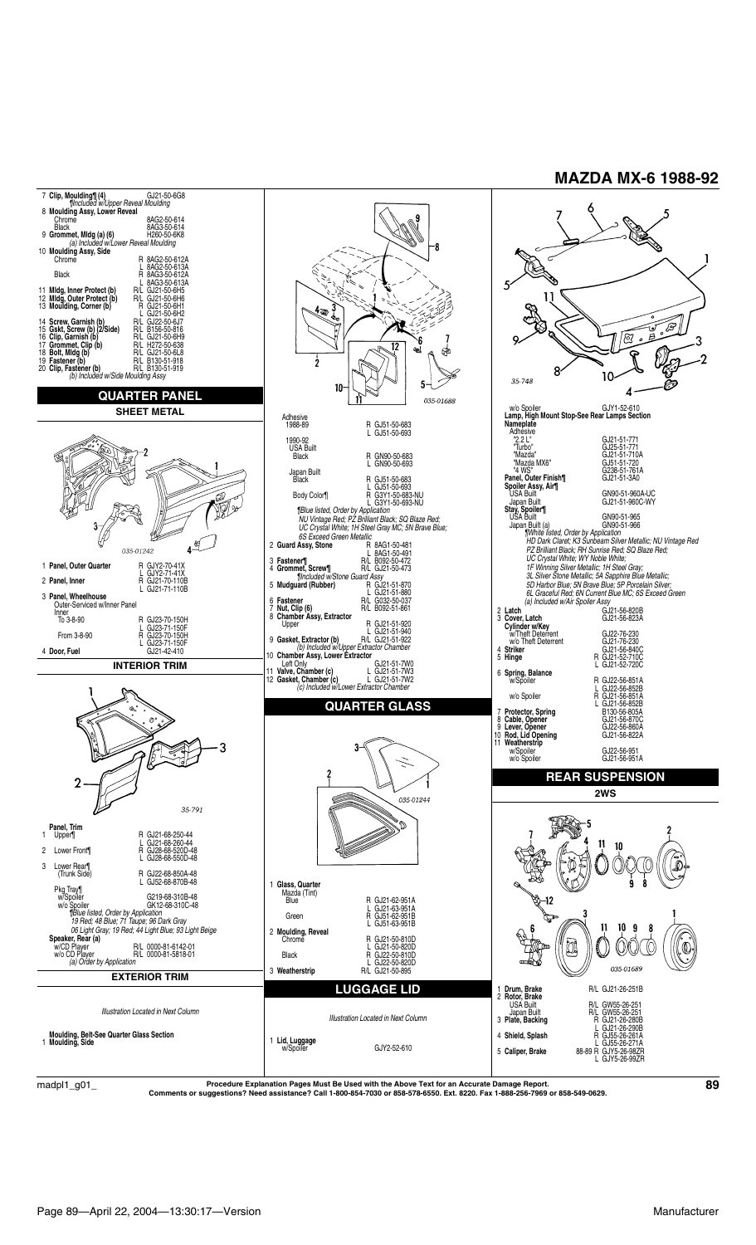

Procedure Explanation Pages Must Be Used with the Above Text for an Accurate Damage Report.<br>Comments or suggestions? Need assistance? Call 1-800-854-7030 or 858-578-6550. Ext. 8220. Fax 1-888-256-7969 or 858-549-0629.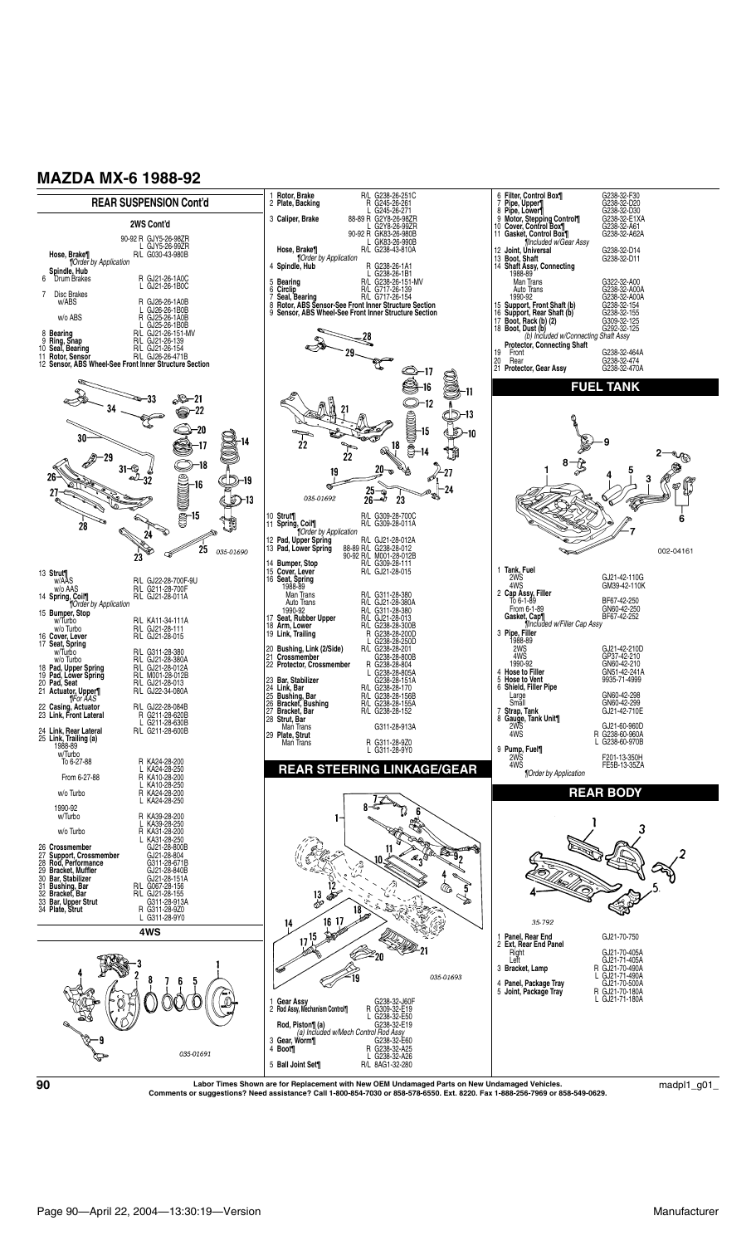

 $\bf 90$   $\bf 1$   $\bf 201\_$   $\bf 01\_$   $\bf 021\_$   $\bf 03\_$   $\bf 04\_$   $\bf 05\_$   $\bf 03\_$   $\bf 04\_$   $\bf 04\_$   $\bf 05\_$   $\bf 05\_$   $\bf 06\_$   $\bf 07\_$   $\bf 08\_$   $\bf 09\_$   $\bf 09\_$   $\bf 01\_$   $\bf 01\_$   $\bf 01\_$   $\bf 01\_$   $\bf 01\_$   $\bf 01\_$   $\bf 02$